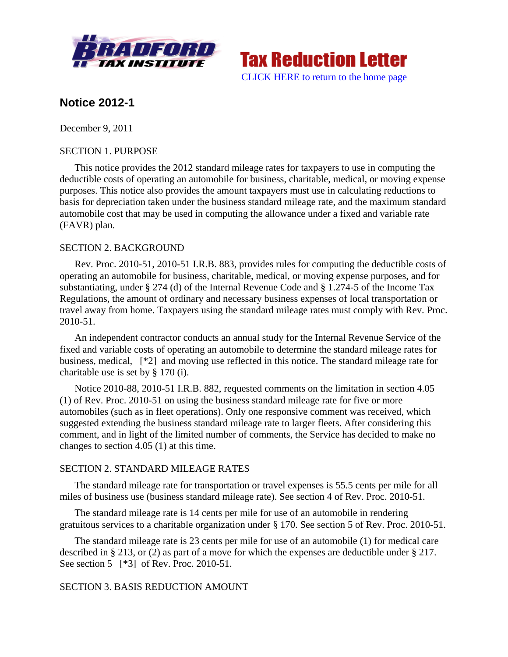



# **Notice 2012-1**

December 9, 2011

### SECTION 1. PURPOSE

This notice provides the 2012 standard mileage rates for taxpayers to use in computing the deductible costs of operating an automobile for business, charitable, medical, or moving expense purposes. This notice also provides the amount taxpayers must use in calculating reductions to basis for depreciation taken under the business standard mileage rate, and the maximum standard automobile cost that may be used in computing the allowance under a fixed and variable rate (FAVR) plan.

# SECTION 2. BACKGROUND

Rev. Proc. 2010-51, 2010-51 I.R.B. 883, provides rules for computing the deductible costs of operating an automobile for business, charitable, medical, or moving expense purposes, and for substantiating, under § 274 (d) of the Internal Revenue Code and § 1.274-5 of the Income Tax Regulations, the amount of ordinary and necessary business expenses of local transportation or travel away from home. Taxpayers using the standard mileage rates must comply with Rev. Proc. 2010-51.

An independent contractor conducts an annual study for the Internal Revenue Service of the fixed and variable costs of operating an automobile to determine the standard mileage rates for business, medical, [\*2] and moving use reflected in this notice. The standard mileage rate for charitable use is set by § 170 (i).

Notice 2010-88, 2010-51 I.R.B. 882, requested comments on the limitation in section 4.05 (1) of Rev. Proc. 2010-51 on using the business standard mileage rate for five or more automobiles (such as in fleet operations). Only one responsive comment was received, which suggested extending the business standard mileage rate to larger fleets. After considering this comment, and in light of the limited number of comments, the Service has decided to make no changes to section 4.05 (1) at this time.

#### SECTION 2. STANDARD MILEAGE RATES

The standard mileage rate for transportation or travel expenses is 55.5 cents per mile for all miles of business use (business standard mileage rate). See section 4 of Rev. Proc. 2010-51.

The standard mileage rate is 14 cents per mile for use of an automobile in rendering gratuitous services to a charitable organization under § 170. See section 5 of Rev. Proc. 2010-51.

The standard mileage rate is 23 cents per mile for use of an automobile (1) for medical care described in § 213, or (2) as part of a move for which the expenses are deductible under § 217. See section 5 [\*3] of Rev. Proc. 2010-51.

# SECTION 3. BASIS REDUCTION AMOUNT